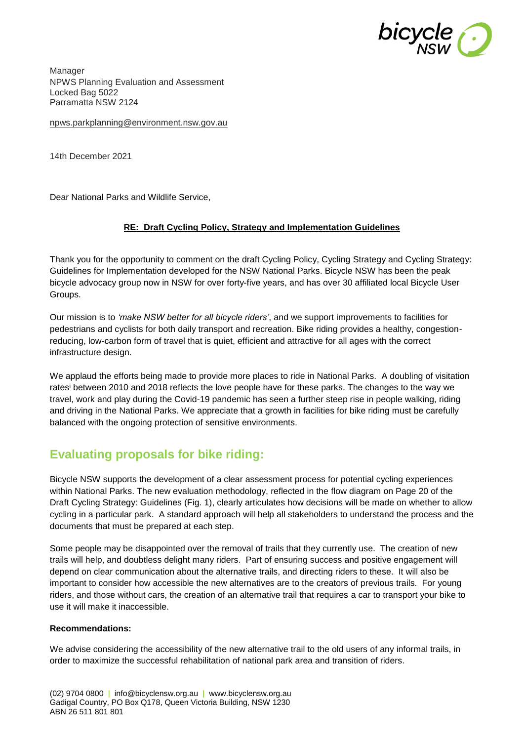

Manager NPWS Planning Evaluation and Assessment Locked Bag 5022 Parramatta NSW 2124

[npws.parkplanning@environment.nsw.gov.au](mailto:npws.parkplanning@environment.nsw.gov.au)

14th December 2021

Dear National Parks and Wildlife Service,

#### **RE: Draft Cycling Policy, Strategy and Implementation Guidelines**

Thank you for the opportunity to comment on the draft Cycling Policy, Cycling Strategy and Cycling Strategy: Guidelines for Implementation developed for the NSW National Parks. Bicycle NSW has been the peak bicycle advocacy group now in NSW for over forty-five years, and has over 30 affiliated local Bicycle User Groups.

Our mission is to *'make NSW better for all bicycle riders'*, and we support improvements to facilities for pedestrians and cyclists for both daily transport and recreation. Bike riding provides a healthy, congestionreducing, low-carbon form of travel that is quiet, efficient and attractive for all ages with the correct infrastructure design.

We applaud the efforts being made to provide more places to ride in National Parks. A doubling of visitation rates<sup>i</sup> between 2010 and 2018 reflects the love people have for these parks. The changes to the way we travel, work and play during the Covid-19 pandemic has seen a further steep rise in people walking, riding and driving in the National Parks. We appreciate that a growth in facilities for bike riding must be carefully balanced with the ongoing protection of sensitive environments.

### **Evaluating proposals for bike riding:**

Bicycle NSW supports the development of a clear assessment process for potential cycling experiences within National Parks. The new evaluation methodology, reflected in the flow diagram on Page 20 of the Draft Cycling Strategy: Guidelines (Fig. 1), clearly articulates how decisions will be made on whether to allow cycling in a particular park. A standard approach will help all stakeholders to understand the process and the documents that must be prepared at each step.

Some people may be disappointed over the removal of trails that they currently use. The creation of new trails will help, and doubtless delight many riders. Part of ensuring success and positive engagement will depend on clear communication about the alternative trails, and directing riders to these. It will also be important to consider how accessible the new alternatives are to the creators of previous trails. For young riders, and those without cars, the creation of an alternative trail that requires a car to transport your bike to use it will make it inaccessible.

#### **Recommendations:**

We advise considering the accessibility of the new alternative trail to the old users of any informal trails, in order to maximize the successful rehabilitation of national park area and transition of riders.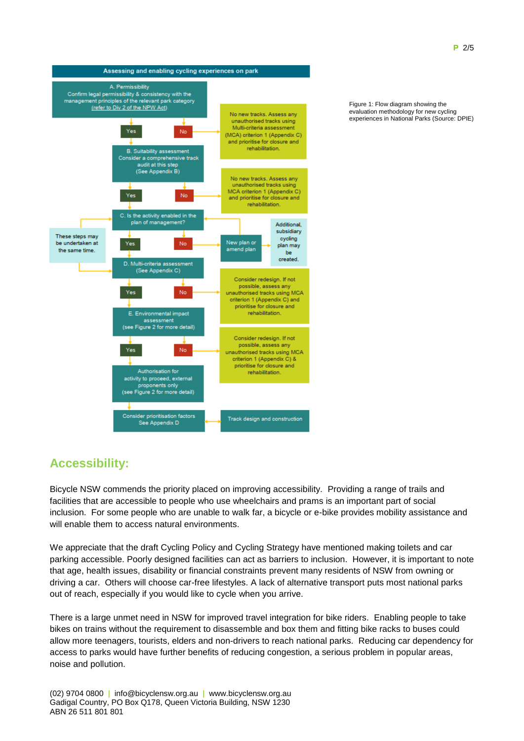

Figure 1: Flow diagram showing the evaluation methodology for new cycling experiences in National Parks (Source: DPIE)

# **Accessibility:**

Bicycle NSW commends the priority placed on improving accessibility. Providing a range of trails and facilities that are accessible to people who use wheelchairs and prams is an important part of social inclusion. For some people who are unable to walk far, a bicycle or e-bike provides mobility assistance and will enable them to access natural environments.

We appreciate that the draft Cycling Policy and Cycling Strategy have mentioned making toilets and car parking accessible. Poorly designed facilities can act as barriers to inclusion. However, it is important to note that age, health issues, disability or financial constraints prevent many residents of NSW from owning or driving a car. Others will choose car-free lifestyles. A lack of alternative transport puts most national parks out of reach, especially if you would like to cycle when you arrive.

There is a large unmet need in NSW for improved travel integration for bike riders. Enabling people to take bikes on trains without the requirement to disassemble and box them and fitting bike racks to buses could allow more teenagers, tourists, elders and non-drivers to reach national parks. Reducing car dependency for access to parks would have further benefits of reducing congestion, a serious problem in popular areas, noise and pollution.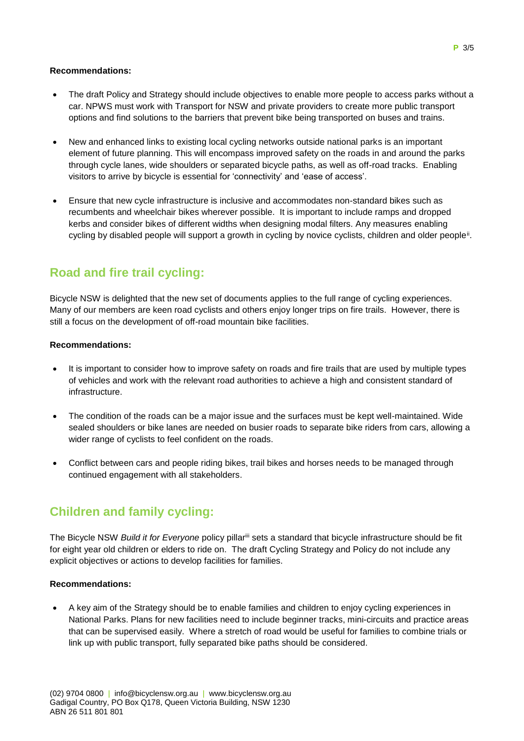#### **Recommendations:**

- The draft Policy and Strategy should include objectives to enable more people to access parks without a car. NPWS must work with Transport for NSW and private providers to create more public transport options and find solutions to the barriers that prevent bike being transported on buses and trains.
- New and enhanced links to existing local cycling networks outside national parks is an important element of future planning. This will encompass improved safety on the roads in and around the parks through cycle lanes, wide shoulders or separated bicycle paths, as well as off-road tracks. Enabling visitors to arrive by bicycle is essential for 'connectivity' and 'ease of access'.
- Ensure that new cycle infrastructure is inclusive and accommodates non-standard bikes such as recumbents and wheelchair bikes wherever possible. It is important to include ramps and dropped kerbs and consider bikes of different widths when designing modal filters. Any measures enabling cycling by disabled people will support a growth in cycling by novice cyclists, children and older people<sup>ii</sup>.

# **Road and fire trail cycling:**

Bicycle NSW is delighted that the new set of documents applies to the full range of cycling experiences. Many of our members are keen road cyclists and others enjoy longer trips on fire trails. However, there is still a focus on the development of off-road mountain bike facilities.

#### **Recommendations:**

- It is important to consider how to improve safety on roads and fire trails that are used by multiple types of vehicles and work with the relevant road authorities to achieve a high and consistent standard of infrastructure.
- The condition of the roads can be a major issue and the surfaces must be kept well-maintained. Wide sealed shoulders or bike lanes are needed on busier roads to separate bike riders from cars, allowing a wider range of cyclists to feel confident on the roads.
- Conflict between cars and people riding bikes, trail bikes and horses needs to be managed through continued engagement with all stakeholders.

# **Children and family cycling:**

The Bicycle NSW *Build it for Everyone* policy pillariii sets a standard that bicycle infrastructure should be fit for eight year old children or elders to ride on. The draft Cycling Strategy and Policy do not include any explicit objectives or actions to develop facilities for families.

#### **Recommendations:**

 A key aim of the Strategy should be to enable families and children to enjoy cycling experiences in National Parks. Plans for new facilities need to include beginner tracks, mini-circuits and practice areas that can be supervised easily. Where a stretch of road would be useful for families to combine trials or link up with public transport, fully separated bike paths should be considered.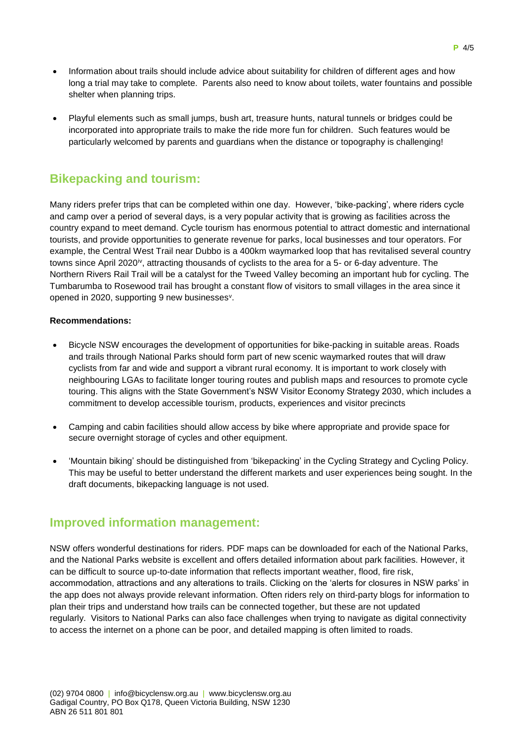- Information about trails should include advice about suitability for children of different ages and how long a trial may take to complete. Parents also need to know about toilets, water fountains and possible shelter when planning trips.
- Playful elements such as small jumps, bush art, treasure hunts, natural tunnels or bridges could be incorporated into appropriate trails to make the ride more fun for children. Such features would be particularly welcomed by parents and guardians when the distance or topography is challenging!

# **Bikepacking and tourism:**

Many riders prefer trips that can be completed within one day. However, 'bike-packing', where riders cycle and camp over a period of several days, is a very popular activity that is growing as facilities across the country expand to meet demand. Cycle tourism has enormous potential to attract domestic and international tourists, and provide opportunities to generate revenue for parks, local businesses and tour operators. For example, the Central West Trail near Dubbo is a 400km waymarked loop that has revitalised several country towns since April 2020<sup>iv</sup>, attracting thousands of cyclists to the area for a 5- or 6-day adventure. The Northern Rivers Rail Trail will be a catalyst for the Tweed Valley becoming an important hub for cycling. The Tumbarumba to Rosewood trail has brought a constant flow of visitors to small villages in the area since it opened in 2020, supporting 9 new businesses<sup>v</sup>.

#### **Recommendations:**

- Bicycle NSW encourages the development of opportunities for bike-packing in suitable areas. Roads and trails through National Parks should form part of new scenic waymarked routes that will draw cyclists from far and wide and support a vibrant rural economy. It is important to work closely with neighbouring LGAs to facilitate longer touring routes and publish maps and resources to promote cycle touring. This aligns with the State Government's NSW Visitor Economy Strategy 2030, which includes a commitment to develop accessible tourism, products, experiences and visitor precincts
- Camping and cabin facilities should allow access by bike where appropriate and provide space for secure overnight storage of cycles and other equipment.
- 'Mountain biking' should be distinguished from 'bikepacking' in the Cycling Strategy and Cycling Policy. This may be useful to better understand the different markets and user experiences being sought. In the draft documents, bikepacking language is not used.

### **Improved information management:**

NSW offers wonderful destinations for riders. PDF maps can be downloaded for each of the National Parks, and the National Parks website is excellent and offers detailed information about park facilities. However, it can be difficult to source up-to-date information that reflects important weather, flood, fire risk, accommodation, attractions and any alterations to trails. Clicking on the 'alerts for closures in NSW parks' in the app does not always provide relevant information. Often riders rely on third-party blogs for information to plan their trips and understand how trails can be connected together, but these are not updated regularly. Visitors to National Parks can also face challenges when trying to navigate as digital connectivity to access the internet on a phone can be poor, and detailed mapping is often limited to roads.